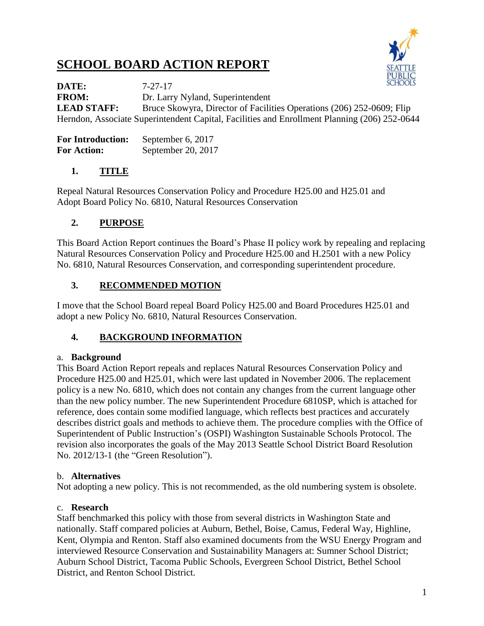# **SCHOOL BOARD ACTION REPORT**



**DATE:** 7-27-17 **FROM:** Dr. Larry Nyland, Superintendent **LEAD STAFF:** Bruce Skowyra, Director of Facilities Operations (206) 252-0609; Flip Herndon, Associate Superintendent Capital, Facilities and Enrollment Planning (206) 252-0644

| <b>For Introduction:</b> | September 6, 2017  |
|--------------------------|--------------------|
| <b>For Action:</b>       | September 20, 2017 |

## **1. TITLE**

Repeal Natural Resources Conservation Policy and Procedure H25.00 and H25.01 and Adopt Board Policy No. 6810, Natural Resources Conservation

## **2. PURPOSE**

This Board Action Report continues the Board's Phase II policy work by repealing and replacing Natural Resources Conservation Policy and Procedure H25.00 and H.2501 with a new Policy No. 6810, Natural Resources Conservation, and corresponding superintendent procedure.

## **3. RECOMMENDED MOTION**

I move that the School Board repeal Board Policy H25.00 and Board Procedures H25.01 and adopt a new Policy No. 6810, Natural Resources Conservation.

#### **4. BACKGROUND INFORMATION**

#### a. **Background**

This Board Action Report repeals and replaces Natural Resources Conservation Policy and Procedure H25.00 and H25.01, which were last updated in November 2006. The replacement policy is a new No. 6810, which does not contain any changes from the current language other than the new policy number. The new Superintendent Procedure 6810SP, which is attached for reference, does contain some modified language, which reflects best practices and accurately describes district goals and methods to achieve them. The procedure complies with the Office of Superintendent of Public Instruction's (OSPI) Washington Sustainable Schools Protocol. The revision also incorporates the goals of the May 2013 Seattle School District Board Resolution No. 2012/13-1 (the "Green Resolution").

#### b. **Alternatives**

Not adopting a new policy. This is not recommended, as the old numbering system is obsolete.

#### c. **Research**

Staff benchmarked this policy with those from several districts in Washington State and nationally. Staff compared policies at Auburn, Bethel, Boise, Camus, Federal Way, Highline, Kent, Olympia and Renton. Staff also examined documents from the WSU Energy Program and interviewed Resource Conservation and Sustainability Managers at: Sumner School District; Auburn School District, Tacoma Public Schools, Evergreen School District, Bethel School District, and Renton School District.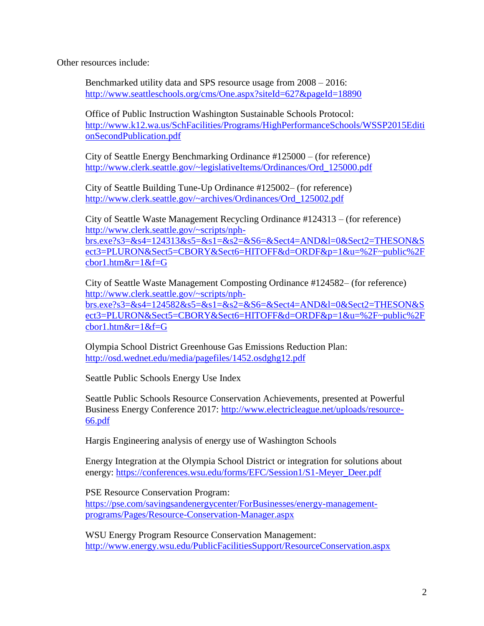Other resources include:

Benchmarked utility data and SPS resource usage from 2008 – 2016: <http://www.seattleschools.org/cms/One.aspx?siteId=627&pageId=18890>

Office of Public Instruction Washington Sustainable Schools Protocol: [http://www.k12.wa.us/SchFacilities/Programs/HighPerformanceSchools/WSSP2015Editi](http://www.k12.wa.us/SchFacilities/Programs/HighPerformanceSchools/WSSP2015EditionSecondPublication.pdf) [onSecondPublication.pdf](http://www.k12.wa.us/SchFacilities/Programs/HighPerformanceSchools/WSSP2015EditionSecondPublication.pdf)

City of Seattle Energy Benchmarking Ordinance #125000 – (for reference) [http://www.clerk.seattle.gov/~legislativeItems/Ordinances/Ord\\_125000.pdf](http://www.clerk.seattle.gov/~legislativeItems/Ordinances/Ord_125000.pdf)

City of Seattle Building Tune-Up Ordinance #125002– (for reference) [http://www.clerk.seattle.gov/~archives/Ordinances/Ord\\_125002.pdf](http://www.clerk.seattle.gov/~archives/Ordinances/Ord_125002.pdf)

City of Seattle Waste Management Recycling Ordinance #124313 – (for reference) [http://www.clerk.seattle.gov/~scripts/nph](http://www.clerk.seattle.gov/~scripts/nph-brs.exe?s3=&s4=124313&s5=&s1=&s2=&S6=&Sect4=AND&l=0&Sect2=THESON&Sect3=PLURON&Sect5=CBORY&Sect6=HITOFF&d=ORDF&p=1&u=%2F~public%2Fcbor1.htm&r=1&f=G)[brs.exe?s3=&s4=124313&s5=&s1=&s2=&S6=&Sect4=AND&l=0&Sect2=THESON&S](http://www.clerk.seattle.gov/~scripts/nph-brs.exe?s3=&s4=124313&s5=&s1=&s2=&S6=&Sect4=AND&l=0&Sect2=THESON&Sect3=PLURON&Sect5=CBORY&Sect6=HITOFF&d=ORDF&p=1&u=%2F~public%2Fcbor1.htm&r=1&f=G) [ect3=PLURON&Sect5=CBORY&Sect6=HITOFF&d=ORDF&p=1&u=%2F~public%2F](http://www.clerk.seattle.gov/~scripts/nph-brs.exe?s3=&s4=124313&s5=&s1=&s2=&S6=&Sect4=AND&l=0&Sect2=THESON&Sect3=PLURON&Sect5=CBORY&Sect6=HITOFF&d=ORDF&p=1&u=%2F~public%2Fcbor1.htm&r=1&f=G) [cbor1.htm&r=1&f=G](http://www.clerk.seattle.gov/~scripts/nph-brs.exe?s3=&s4=124313&s5=&s1=&s2=&S6=&Sect4=AND&l=0&Sect2=THESON&Sect3=PLURON&Sect5=CBORY&Sect6=HITOFF&d=ORDF&p=1&u=%2F~public%2Fcbor1.htm&r=1&f=G)

City of Seattle Waste Management Composting Ordinance #124582– (for reference) [http://www.clerk.seattle.gov/~scripts/nph](http://www.clerk.seattle.gov/~scripts/nph-brs.exe?s3=&s4=124582&s5=&s1=&s2=&S6=&Sect4=AND&l=0&Sect2=THESON&Sect3=PLURON&Sect5=CBORY&Sect6=HITOFF&d=ORDF&p=1&u=%2F~public%2Fcbor1.htm&r=1&f=G)[brs.exe?s3=&s4=124582&s5=&s1=&s2=&S6=&Sect4=AND&l=0&Sect2=THESON&S](http://www.clerk.seattle.gov/~scripts/nph-brs.exe?s3=&s4=124582&s5=&s1=&s2=&S6=&Sect4=AND&l=0&Sect2=THESON&Sect3=PLURON&Sect5=CBORY&Sect6=HITOFF&d=ORDF&p=1&u=%2F~public%2Fcbor1.htm&r=1&f=G) [ect3=PLURON&Sect5=CBORY&Sect6=HITOFF&d=ORDF&p=1&u=%2F~public%2F](http://www.clerk.seattle.gov/~scripts/nph-brs.exe?s3=&s4=124582&s5=&s1=&s2=&S6=&Sect4=AND&l=0&Sect2=THESON&Sect3=PLURON&Sect5=CBORY&Sect6=HITOFF&d=ORDF&p=1&u=%2F~public%2Fcbor1.htm&r=1&f=G) [cbor1.htm&r=1&f=G](http://www.clerk.seattle.gov/~scripts/nph-brs.exe?s3=&s4=124582&s5=&s1=&s2=&S6=&Sect4=AND&l=0&Sect2=THESON&Sect3=PLURON&Sect5=CBORY&Sect6=HITOFF&d=ORDF&p=1&u=%2F~public%2Fcbor1.htm&r=1&f=G)

Olympia School District Greenhouse Gas Emissions Reduction Plan: <http://osd.wednet.edu/media/pagefiles/1452.osdghg12.pdf>

Seattle Public Schools Energy Use Index

Seattle Public Schools Resource Conservation Achievements, presented at Powerful Business Energy Conference 2017: [http://www.electricleague.net/uploads/resource-](http://www.electricleague.net/uploads/resource-66.pdf)[66.pdf](http://www.electricleague.net/uploads/resource-66.pdf)

Hargis Engineering analysis of energy use of Washington Schools

Energy Integration at the Olympia School District or integration for solutions about energy: [https://conferences.wsu.edu/forms/EFC/Session1/S1-Meyer\\_Deer.pdf](https://conferences.wsu.edu/forms/EFC/Session1/S1-Meyer_Deer.pdf)

PSE Resource Conservation Program:

[https://pse.com/savingsandenergycenter/ForBusinesses/energy-management](https://pse.com/savingsandenergycenter/ForBusinesses/energy-management-programs/Pages/Resource-Conservation-Manager.aspx)[programs/Pages/Resource-Conservation-Manager.aspx](https://pse.com/savingsandenergycenter/ForBusinesses/energy-management-programs/Pages/Resource-Conservation-Manager.aspx)

WSU Energy Program Resource Conservation Management: <http://www.energy.wsu.edu/PublicFacilitiesSupport/ResourceConservation.aspx>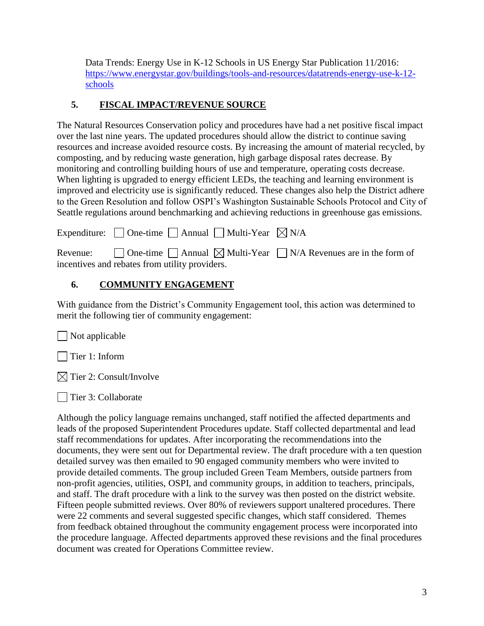Data Trends: Energy Use in K-12 Schools in US Energy Star Publication 11/2016: [https://www.energystar.gov/buildings/tools-and-resources/datatrends-energy-use-k-12](https://www.energystar.gov/buildings/tools-and-resources/datatrends-energy-use-k-12-schools) [schools](https://www.energystar.gov/buildings/tools-and-resources/datatrends-energy-use-k-12-schools)

## **5. FISCAL IMPACT/REVENUE SOURCE**

The Natural Resources Conservation policy and procedures have had a net positive fiscal impact over the last nine years. The updated procedures should allow the district to continue saving resources and increase avoided resource costs. By increasing the amount of material recycled, by composting, and by reducing waste generation, high garbage disposal rates decrease. By monitoring and controlling building hours of use and temperature, operating costs decrease. When lighting is upgraded to energy efficient LEDs, the teaching and learning environment is improved and electricity use is significantly reduced. These changes also help the District adhere to the Green Resolution and follow OSPI's Washington Sustainable Schools Protocol and City of Seattle regulations around benchmarking and achieving reductions in greenhouse gas emissions.

| Expenditure: $\Box$ One-time $\Box$ Annual $\Box$ Multi-Year $\boxtimes$ N/A                                                                           |  |
|--------------------------------------------------------------------------------------------------------------------------------------------------------|--|
| Revenue: $\Box$ One-time $\Box$ Annual $\boxtimes$ Multi-Year $\Box$ N/A Revenues are in the form of<br>incentives and rebates from utility providers. |  |

## **6. COMMUNITY ENGAGEMENT**

With guidance from the District's Community Engagement tool, this action was determined to merit the following tier of community engagement:

 $\Box$  Not applicable

Tier 1: Inform

 $\boxtimes$  Tier 2: Consult/Involve

Tier 3: Collaborate

Although the policy language remains unchanged, staff notified the affected departments and leads of the proposed Superintendent Procedures update. Staff collected departmental and lead staff recommendations for updates. After incorporating the recommendations into the documents, they were sent out for Departmental review. The draft procedure with a ten question detailed survey was then emailed to 90 engaged community members who were invited to provide detailed comments. The group included Green Team Members, outside partners from non-profit agencies, utilities, OSPI, and community groups, in addition to teachers, principals, and staff. The draft procedure with a link to the survey was then posted on the district website. Fifteen people submitted reviews. Over 80% of reviewers support unaltered procedures. There were 22 comments and several suggested specific changes, which staff considered. Themes from feedback obtained throughout the community engagement process were incorporated into the procedure language. Affected departments approved these revisions and the final procedures document was created for Operations Committee review.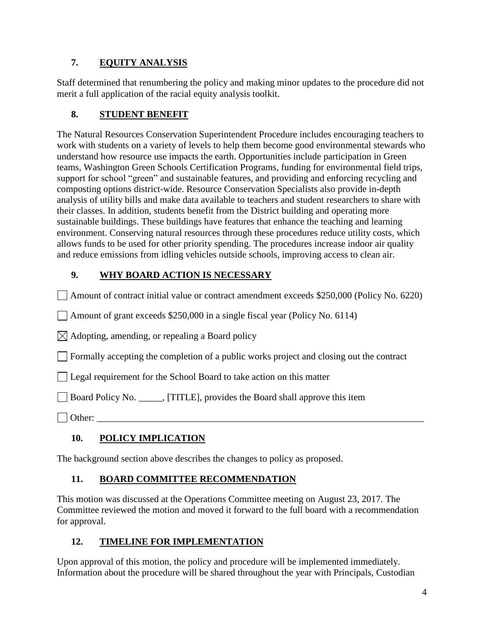## **7. EQUITY ANALYSIS**

Staff determined that renumbering the policy and making minor updates to the procedure did not merit a full application of the racial equity analysis toolkit.

#### **8. STUDENT BENEFIT**

The Natural Resources Conservation Superintendent Procedure includes encouraging teachers to work with students on a variety of levels to help them become good environmental stewards who understand how resource use impacts the earth. Opportunities include participation in Green teams, Washington Green Schools Certification Programs, funding for environmental field trips, support for school "green" and sustainable features, and providing and enforcing recycling and composting options district-wide. Resource Conservation Specialists also provide in-depth analysis of utility bills and make data available to teachers and student researchers to share with their classes. In addition, students benefit from the District building and operating more sustainable buildings. These buildings have features that enhance the teaching and learning environment. Conserving natural resources through these procedures reduce utility costs, which allows funds to be used for other priority spending. The procedures increase indoor air quality and reduce emissions from idling vehicles outside schools, improving access to clean air.

## **9. WHY BOARD ACTION IS NECESSARY**

Amount of contract initial value or contract amendment exceeds \$250,000 (Policy No. 6220)

Amount of grant exceeds \$250,000 in a single fiscal year (Policy No. 6114)

 $\boxtimes$  Adopting, amending, or repealing a Board policy

 $\mathbb{R}^n$ Formally accepting the completion of a public works project and closing out the contract

Legal requirement for the School Board to take action on this matter

Board Policy No. \_\_\_\_\_, [TITLE], provides the Board shall approve this item

 $\Box$  Other:

## **10. POLICY IMPLICATION**

The background section above describes the changes to policy as proposed.

#### **11. BOARD COMMITTEE RECOMMENDATION**

This motion was discussed at the Operations Committee meeting on August 23, 2017. The Committee reviewed the motion and moved it forward to the full board with a recommendation for approval.

## **12. TIMELINE FOR IMPLEMENTATION**

Upon approval of this motion, the policy and procedure will be implemented immediately. Information about the procedure will be shared throughout the year with Principals, Custodian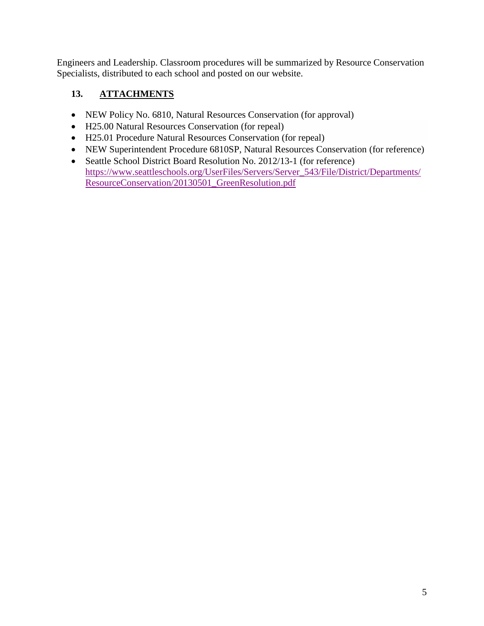Engineers and Leadership. Classroom procedures will be summarized by Resource Conservation Specialists, distributed to each school and posted on our website.

## **13. ATTACHMENTS**

- NEW Policy No. 6810, Natural Resources Conservation (for approval)
- H25.00 Natural Resources Conservation (for repeal)
- H25.01 Procedure Natural Resources Conservation (for repeal)
- NEW Superintendent Procedure 6810SP, Natural Resources Conservation (for reference)
- Seattle School District Board Resolution No. 2012/13-1 (for reference) [https://www.seattleschools.org/UserFiles/Servers/Server\\_543/File/District/Departments/](https://www.seattleschools.org/UserFiles/Servers/Server_543/File/District/Departments/ResourceConservation/20130501_GreenResolution.pdf) [ResourceConservation/20130501\\_GreenResolution.pdf](https://www.seattleschools.org/UserFiles/Servers/Server_543/File/District/Departments/ResourceConservation/20130501_GreenResolution.pdf)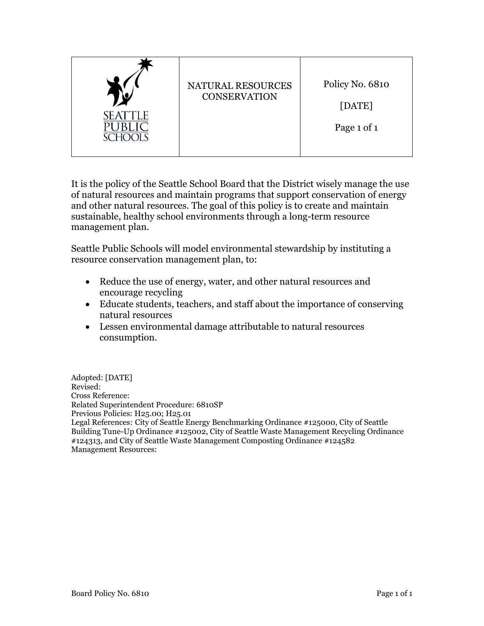|                           | NATURAL RESOURCES<br><b>CONSERVATION</b> | Policy No. 6810       |
|---------------------------|------------------------------------------|-----------------------|
| <b>SEATTLE</b><br>SCHOOIS |                                          | [DATE]<br>Page 1 of 1 |

It is the policy of the Seattle School Board that the District wisely manage the use of natural resources and maintain programs that support conservation of energy and other natural resources. The goal of this policy is to create and maintain sustainable, healthy school environments through a long-term resource management plan.

Seattle Public Schools will model environmental stewardship by instituting a resource conservation management plan, to:

- Reduce the use of energy, water, and other natural resources and encourage recycling
- Educate students, teachers, and staff about the importance of conserving natural resources
- Lessen environmental damage attributable to natural resources consumption.

Adopted: [DATE] Revised: Cross Reference: Related Superintendent Procedure: 6810SP Previous Policies: H25.00; H25.01 Legal References: City of Seattle Energy Benchmarking Ordinance #125000, City of Seattle Building Tune-Up Ordinance #125002, City of Seattle Waste Management Recycling Ordinance #124313, and City of Seattle Waste Management Composting Ordinance #124582 Management Resources: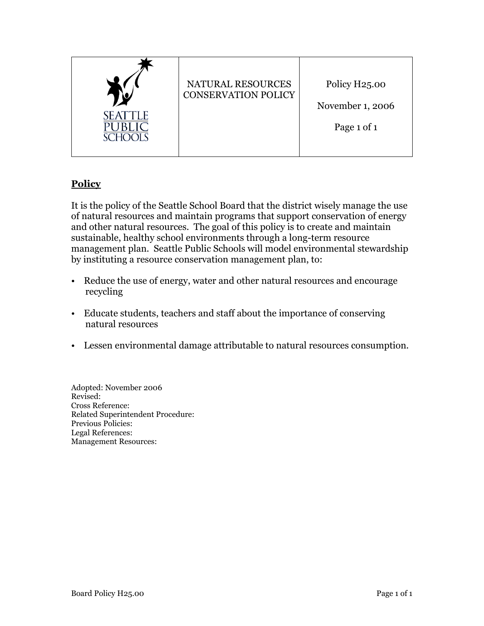

## **Policy**

It is the policy of the Seattle School Board that the district wisely manage the use of natural resources and maintain programs that support conservation of energy and other natural resources. The goal of this policy is to create and maintain sustainable, healthy school environments through a long-term resource management plan. Seattle Public Schools will model environmental stewardship by instituting a resource conservation management plan, to:

- Reduce the use of energy, water and other natural resources and encourage recycling
- Educate students, teachers and staff about the importance of conserving natural resources
- Lessen environmental damage attributable to natural resources consumption.

Adopted: November 2006 Revised: Cross Reference: Related Superintendent Procedure: Previous Policies: Legal References: Management Resources: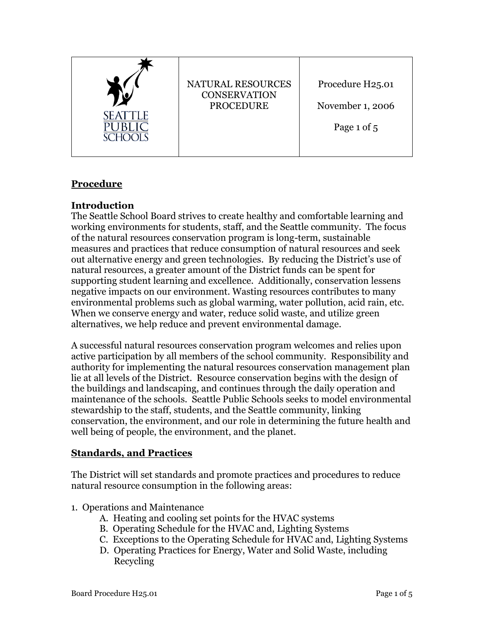

## **Procedure**

#### **Introduction**

The Seattle School Board strives to create healthy and comfortable learning and working environments for students, staff, and the Seattle community. The focus of the natural resources conservation program is long-term, sustainable measures and practices that reduce consumption of natural resources and seek out alternative energy and green technologies. By reducing the District's use of natural resources, a greater amount of the District funds can be spent for supporting student learning and excellence. Additionally, conservation lessens negative impacts on our environment. Wasting resources contributes to many environmental problems such as global warming, water pollution, acid rain, etc. When we conserve energy and water, reduce solid waste, and utilize green alternatives, we help reduce and prevent environmental damage.

A successful natural resources conservation program welcomes and relies upon active participation by all members of the school community. Responsibility and authority for implementing the natural resources conservation management plan lie at all levels of the District. Resource conservation begins with the design of the buildings and landscaping, and continues through the daily operation and maintenance of the schools. Seattle Public Schools seeks to model environmental stewardship to the staff, students, and the Seattle community, linking conservation, the environment, and our role in determining the future health and well being of people, the environment, and the planet.

#### **Standards, and Practices**

The District will set standards and promote practices and procedures to reduce natural resource consumption in the following areas:

#### 1. Operations and Maintenance

- A. Heating and cooling set points for the HVAC systems
- B. Operating Schedule for the HVAC and, Lighting Systems
- C. Exceptions to the Operating Schedule for HVAC and, Lighting Systems
- D. Operating Practices for Energy, Water and Solid Waste, including Recycling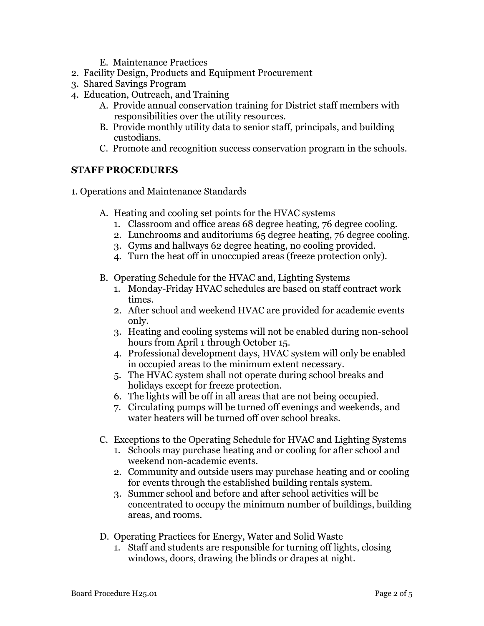- E. Maintenance Practices
- 2. Facility Design, Products and Equipment Procurement
- 3. Shared Savings Program
- 4. Education, Outreach, and Training
	- A. Provide annual conservation training for District staff members with responsibilities over the utility resources.
	- B. Provide monthly utility data to senior staff, principals, and building custodians.
	- C. Promote and recognition success conservation program in the schools.

#### **STAFF PROCEDURES**

- 1. Operations and Maintenance Standards
	- A. Heating and cooling set points for the HVAC systems
		- 1. Classroom and office areas 68 degree heating, 76 degree cooling.
		- 2. Lunchrooms and auditoriums 65 degree heating, 76 degree cooling.
		- 3. Gyms and hallways 62 degree heating, no cooling provided.
		- 4. Turn the heat off in unoccupied areas (freeze protection only).
	- B. Operating Schedule for the HVAC and, Lighting Systems
		- 1. Monday-Friday HVAC schedules are based on staff contract work times.
		- 2. After school and weekend HVAC are provided for academic events only.
		- 3. Heating and cooling systems will not be enabled during non-school hours from April 1 through October 15.
		- 4. Professional development days, HVAC system will only be enabled in occupied areas to the minimum extent necessary.
		- 5. The HVAC system shall not operate during school breaks and holidays except for freeze protection.
		- 6. The lights will be off in all areas that are not being occupied.
		- 7. Circulating pumps will be turned off evenings and weekends, and water heaters will be turned off over school breaks.
	- C. Exceptions to the Operating Schedule for HVAC and Lighting Systems
		- 1. Schools may purchase heating and or cooling for after school and weekend non-academic events.
		- 2. Community and outside users may purchase heating and or cooling for events through the established building rentals system.
		- 3. Summer school and before and after school activities will be concentrated to occupy the minimum number of buildings, building areas, and rooms.
	- D. Operating Practices for Energy, Water and Solid Waste
		- 1. Staff and students are responsible for turning off lights, closing windows, doors, drawing the blinds or drapes at night.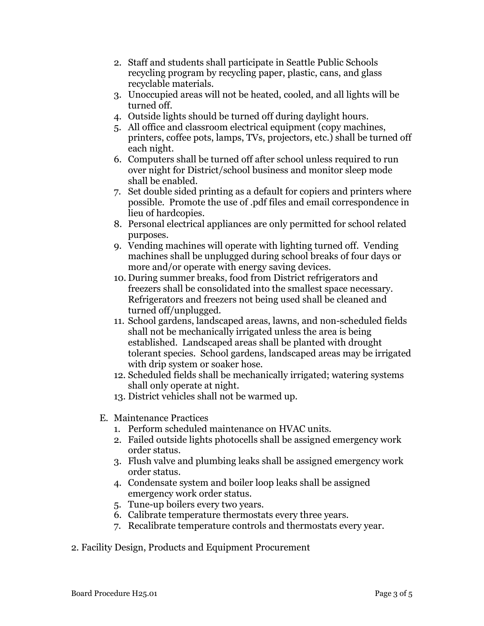- 2. Staff and students shall participate in Seattle Public Schools recycling program by recycling paper, plastic, cans, and glass recyclable materials.
- 3. Unoccupied areas will not be heated, cooled, and all lights will be turned off.
- 4. Outside lights should be turned off during daylight hours.
- 5. All office and classroom electrical equipment (copy machines, printers, coffee pots, lamps, TVs, projectors, etc.) shall be turned off each night.
- 6. Computers shall be turned off after school unless required to run over night for District/school business and monitor sleep mode shall be enabled.
- 7. Set double sided printing as a default for copiers and printers where possible. Promote the use of .pdf files and email correspondence in lieu of hardcopies.
- 8. Personal electrical appliances are only permitted for school related purposes.
- 9. Vending machines will operate with lighting turned off. Vending machines shall be unplugged during school breaks of four days or more and/or operate with energy saving devices.
- 10. During summer breaks, food from District refrigerators and freezers shall be consolidated into the smallest space necessary. Refrigerators and freezers not being used shall be cleaned and turned off/unplugged.
- 11. School gardens, landscaped areas, lawns, and non-scheduled fields shall not be mechanically irrigated unless the area is being established. Landscaped areas shall be planted with drought tolerant species. School gardens, landscaped areas may be irrigated with drip system or soaker hose.
- 12. Scheduled fields shall be mechanically irrigated; watering systems shall only operate at night.
- 13. District vehicles shall not be warmed up.
- E. Maintenance Practices
	- 1. Perform scheduled maintenance on HVAC units.
	- 2. Failed outside lights photocells shall be assigned emergency work order status.
	- 3. Flush valve and plumbing leaks shall be assigned emergency work order status.
	- 4. Condensate system and boiler loop leaks shall be assigned emergency work order status.
	- 5. Tune-up boilers every two years.
	- 6. Calibrate temperature thermostats every three years.
	- 7. Recalibrate temperature controls and thermostats every year.
- 2. Facility Design, Products and Equipment Procurement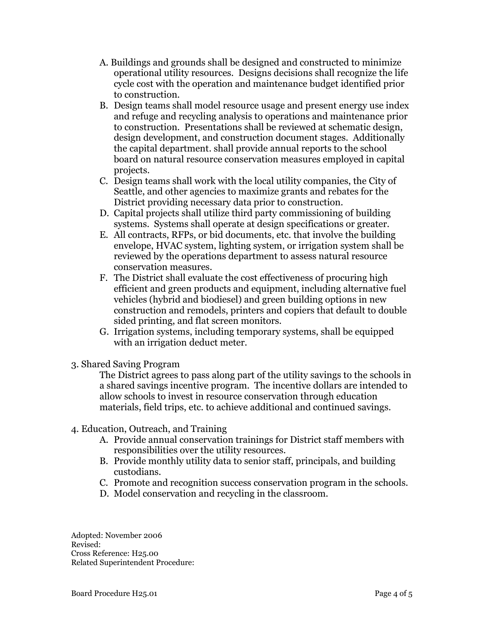- A. Buildings and grounds shall be designed and constructed to minimize operational utility resources. Designs decisions shall recognize the life cycle cost with the operation and maintenance budget identified prior to construction.
- B. Design teams shall model resource usage and present energy use index and refuge and recycling analysis to operations and maintenance prior to construction. Presentations shall be reviewed at schematic design, design development, and construction document stages. Additionally the capital department. shall provide annual reports to the school board on natural resource conservation measures employed in capital projects.
- C. Design teams shall work with the local utility companies, the City of Seattle, and other agencies to maximize grants and rebates for the District providing necessary data prior to construction.
- D. Capital projects shall utilize third party commissioning of building systems. Systems shall operate at design specifications or greater.
- E. All contracts, RFPs, or bid documents, etc. that involve the building envelope, HVAC system, lighting system, or irrigation system shall be reviewed by the operations department to assess natural resource conservation measures.
- F. The District shall evaluate the cost effectiveness of procuring high efficient and green products and equipment, including alternative fuel vehicles (hybrid and biodiesel) and green building options in new construction and remodels, printers and copiers that default to double sided printing, and flat screen monitors.
- G. Irrigation systems, including temporary systems, shall be equipped with an irrigation deduct meter.
- 3. Shared Saving Program

The District agrees to pass along part of the utility savings to the schools in a shared savings incentive program. The incentive dollars are intended to allow schools to invest in resource conservation through education materials, field trips, etc. to achieve additional and continued savings.

- 4. Education, Outreach, and Training
	- A. Provide annual conservation trainings for District staff members with responsibilities over the utility resources.
	- B. Provide monthly utility data to senior staff, principals, and building custodians.
	- C. Promote and recognition success conservation program in the schools.
	- D. Model conservation and recycling in the classroom.

Adopted: November 2006 Revised: Cross Reference: H25.00 Related Superintendent Procedure: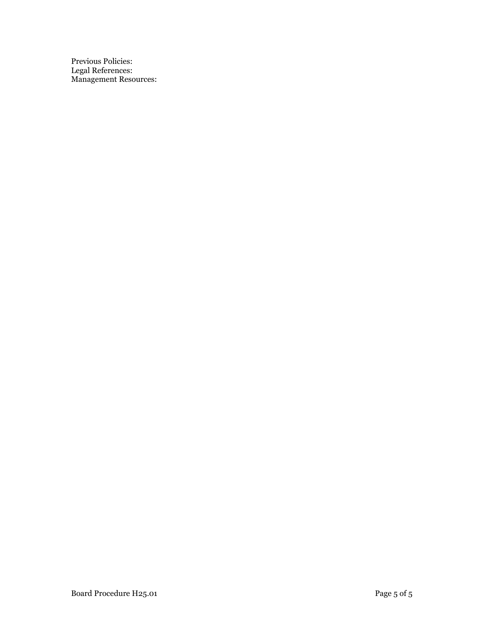Previous Policies: Legal References: Management Resources: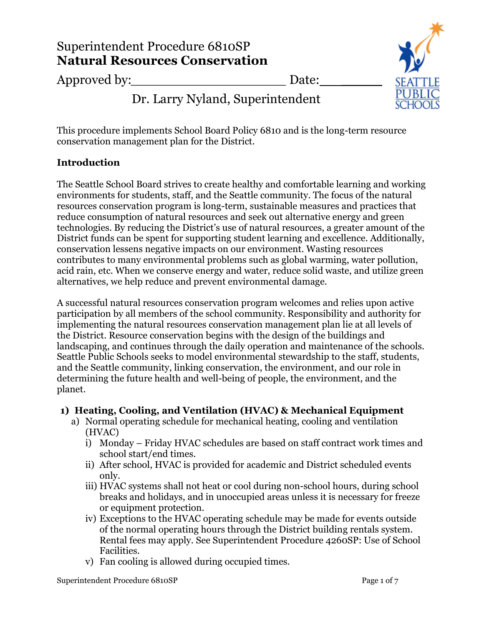# Superintendent Procedure 6810SP **Natural Resources Conservation**

Approved by: <u>Date:</u>

Dr. Larry Nyland, Superintendent

This procedure implements School Board Policy 6810 and is the long-term resource conservation management plan for the District.

## **Introduction**

The Seattle School Board strives to create healthy and comfortable learning and working environments for students, staff, and the Seattle community. The focus of the natural resources conservation program is long-term, sustainable measures and practices that reduce consumption of natural resources and seek out alternative energy and green technologies. By reducing the District's use of natural resources, a greater amount of the District funds can be spent for supporting student learning and excellence. Additionally, conservation lessens negative impacts on our environment. Wasting resources contributes to many environmental problems such as global warming, water pollution, acid rain, etc. When we conserve energy and water, reduce solid waste, and utilize green alternatives, we help reduce and prevent environmental damage.

A successful natural resources conservation program welcomes and relies upon active participation by all members of the school community. Responsibility and authority for implementing the natural resources conservation management plan lie at all levels of the District. Resource conservation begins with the design of the buildings and landscaping, and continues through the daily operation and maintenance of the schools. Seattle Public Schools seeks to model environmental stewardship to the staff, students, and the Seattle community, linking conservation, the environment, and our role in determining the future health and well-being of people, the environment, and the planet.

## **1) Heating, Cooling, and Ventilation (HVAC) & Mechanical Equipment**

- a) Normal operating schedule for mechanical heating, cooling and ventilation (HVAC)
	- i) Monday Friday HVAC schedules are based on staff contract work times and school start/end times.
	- ii) After school, HVAC is provided for academic and District scheduled events only.
	- iii) HVAC systems shall not heat or cool during non-school hours, during school breaks and holidays, and in unoccupied areas unless it is necessary for freeze or equipment protection.
	- iv) Exceptions to the HVAC operating schedule may be made for events outside of the normal operating hours through the District building rentals system. Rental fees may apply. See Superintendent Procedure 4260SP: Use of School Facilities.
	- v) Fan cooling is allowed during occupied times.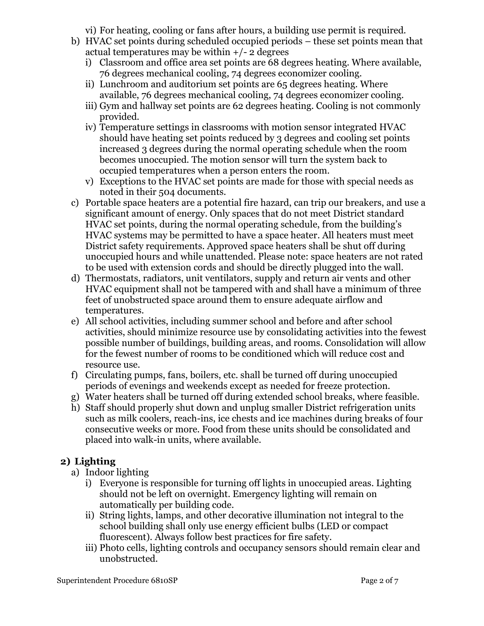vi) For heating, cooling or fans after hours, a building use permit is required.

- b) HVAC set points during scheduled occupied periods these set points mean that actual temperatures may be within  $+/- 2$  degrees
	- i) Classroom and office area set points are 68 degrees heating. Where available, 76 degrees mechanical cooling, 74 degrees economizer cooling.
	- ii) Lunchroom and auditorium set points are 65 degrees heating. Where available, 76 degrees mechanical cooling, 74 degrees economizer cooling.
	- iii) Gym and hallway set points are 62 degrees heating. Cooling is not commonly provided.
	- iv) Temperature settings in classrooms with motion sensor integrated HVAC should have heating set points reduced by 3 degrees and cooling set points increased 3 degrees during the normal operating schedule when the room becomes unoccupied. The motion sensor will turn the system back to occupied temperatures when a person enters the room.
	- v) Exceptions to the HVAC set points are made for those with special needs as noted in their 504 documents.
- c) Portable space heaters are a potential fire hazard, can trip our breakers, and use a significant amount of energy. Only spaces that do not meet District standard HVAC set points, during the normal operating schedule, from the building's HVAC systems may be permitted to have a space heater. All heaters must meet District safety requirements. Approved space heaters shall be shut off during unoccupied hours and while unattended. Please note: space heaters are not rated to be used with extension cords and should be directly plugged into the wall.
- d) Thermostats, radiators, unit ventilators, supply and return air vents and other HVAC equipment shall not be tampered with and shall have a minimum of three feet of unobstructed space around them to ensure adequate airflow and temperatures.
- e) All school activities, including summer school and before and after school activities, should minimize resource use by consolidating activities into the fewest possible number of buildings, building areas, and rooms. Consolidation will allow for the fewest number of rooms to be conditioned which will reduce cost and resource use.
- f) Circulating pumps, fans, boilers, etc. shall be turned off during unoccupied periods of evenings and weekends except as needed for freeze protection.
- g) Water heaters shall be turned off during extended school breaks, where feasible.
- h) Staff should properly shut down and unplug smaller District refrigeration units such as milk coolers, reach-ins, ice chests and ice machines during breaks of four consecutive weeks or more. Food from these units should be consolidated and placed into walk-in units, where available.

# **2) Lighting**

- a) Indoor lighting
	- i) Everyone is responsible for turning off lights in unoccupied areas. Lighting should not be left on overnight. Emergency lighting will remain on automatically per building code.
	- ii) String lights, lamps, and other decorative illumination not integral to the school building shall only use energy efficient bulbs (LED or compact fluorescent). Always follow best practices for fire safety.
	- iii) Photo cells, lighting controls and occupancy sensors should remain clear and unobstructed.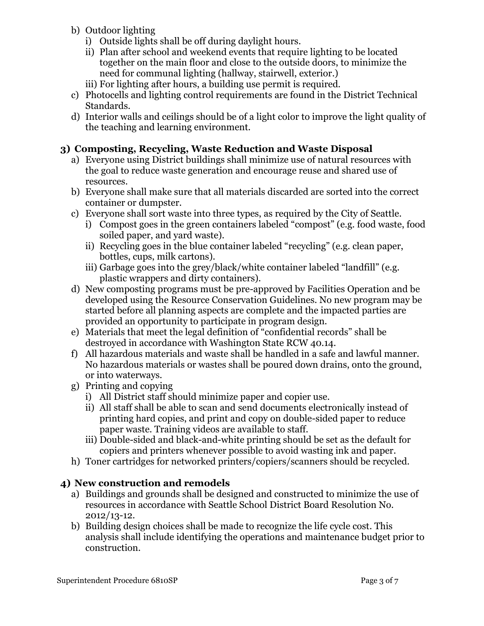- b) Outdoor lighting
	- i) Outside lights shall be off during daylight hours.
	- ii) Plan after school and weekend events that require lighting to be located together on the main floor and close to the outside doors, to minimize the need for communal lighting (hallway, stairwell, exterior.)
	- iii) For lighting after hours, a building use permit is required.
- c) Photocells and lighting control requirements are found in the District Technical Standards.
- d) Interior walls and ceilings should be of a light color to improve the light quality of the teaching and learning environment.

## **3) Composting, Recycling, Waste Reduction and Waste Disposal**

- a) Everyone using District buildings shall minimize use of natural resources with the goal to reduce waste generation and encourage reuse and shared use of resources.
- b) Everyone shall make sure that all materials discarded are sorted into the correct container or dumpster.
- c) Everyone shall sort waste into three types, as required by the City of Seattle.
	- i) Compost goes in the green containers labeled "compost" (e.g. food waste, food soiled paper, and yard waste).
	- ii) Recycling goes in the blue container labeled "recycling" (e.g. clean paper, bottles, cups, milk cartons).
	- iii) Garbage goes into the grey/black/white container labeled "landfill" (e.g. plastic wrappers and dirty containers).
- d) New composting programs must be pre-approved by Facilities Operation and be developed using the Resource Conservation Guidelines. No new program may be started before all planning aspects are complete and the impacted parties are provided an opportunity to participate in program design.
- e) Materials that meet the legal definition of "confidential records" shall be destroyed in accordance with Washington State RCW 40.14.
- f) All hazardous materials and waste shall be handled in a safe and lawful manner. No hazardous materials or wastes shall be poured down drains, onto the ground, or into waterways.
- g) Printing and copying
	- i) All District staff should minimize paper and copier use.
	- ii) All staff shall be able to scan and send documents electronically instead of printing hard copies, and print and copy on double-sided paper to reduce paper waste. Training videos are available to staff.
	- iii) Double-sided and black-and-white printing should be set as the default for copiers and printers whenever possible to avoid wasting ink and paper.
- h) Toner cartridges for networked printers/copiers/scanners should be recycled.

## **4) New construction and remodels**

- a) Buildings and grounds shall be designed and constructed to minimize the use of resources in accordance with Seattle School District Board Resolution No. 2012/13-12.
- b) Building design choices shall be made to recognize the life cycle cost. This analysis shall include identifying the operations and maintenance budget prior to construction.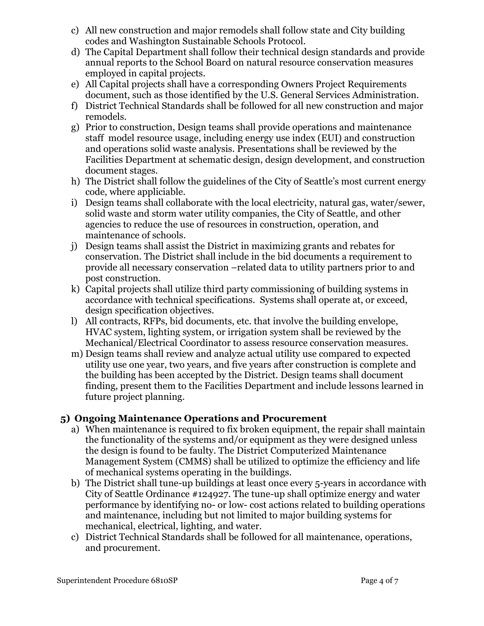- c) All new construction and major remodels shall follow state and City building codes and Washington Sustainable Schools Protocol.
- d) The Capital Department shall follow their technical design standards and provide annual reports to the School Board on natural resource conservation measures employed in capital projects.
- e) All Capital projects shall have a corresponding Owners Project Requirements document, such as those identified by the U.S. General Services Administration.
- f) District Technical Standards shall be followed for all new construction and major remodels.
- g) Prior to construction, Design teams shall provide operations and maintenance staff model resource usage, including energy use index (EUI) and construction and operations solid waste analysis. Presentations shall be reviewed by the Facilities Department at schematic design, design development, and construction document stages.
- h) The District shall follow the guidelines of the City of Seattle's most current energy code, where appliciable.
- i) Design teams shall collaborate with the local electricity, natural gas, water/sewer, solid waste and storm water utility companies, the City of Seattle, and other agencies to reduce the use of resources in construction, operation, and maintenance of schools.
- j) Design teams shall assist the District in maximizing grants and rebates for conservation. The District shall include in the bid documents a requirement to provide all necessary conservation –related data to utility partners prior to and post construction.
- k) Capital projects shall utilize third party commissioning of building systems in accordance with technical specifications. Systems shall operate at, or exceed, design specification objectives.
- l) All contracts, RFPs, bid documents, etc. that involve the building envelope, HVAC system, lighting system, or irrigation system shall be reviewed by the Mechanical/Electrical Coordinator to assess resource conservation measures.
- m) Design teams shall review and analyze actual utility use compared to expected utility use one year, two years, and five years after construction is complete and the building has been accepted by the District. Design teams shall document finding, present them to the Facilities Department and include lessons learned in future project planning.

## **5) Ongoing Maintenance Operations and Procurement**

- a) When maintenance is required to fix broken equipment, the repair shall maintain the functionality of the systems and/or equipment as they were designed unless the design is found to be faulty. The District Computerized Maintenance Management System (CMMS) shall be utilized to optimize the efficiency and life of mechanical systems operating in the buildings.
- b) The District shall tune-up buildings at least once every 5-years in accordance with City of Seattle Ordinance #124927. The tune-up shall optimize energy and water performance by identifying no- or low- cost actions related to building operations and maintenance, including but not limited to major building systems for mechanical, electrical, lighting, and water.
- c) District Technical Standards shall be followed for all maintenance, operations, and procurement.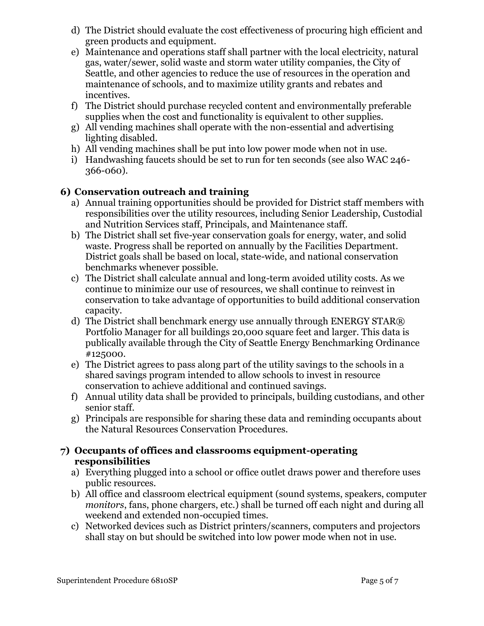- d) The District should evaluate the cost effectiveness of procuring high efficient and green products and equipment.
- e) Maintenance and operations staff shall partner with the local electricity, natural gas, water/sewer, solid waste and storm water utility companies, the City of Seattle, and other agencies to reduce the use of resources in the operation and maintenance of schools, and to maximize utility grants and rebates and incentives.
- f) The District should purchase recycled content and environmentally preferable supplies when the cost and functionality is equivalent to other supplies.
- g) All vending machines shall operate with the non-essential and advertising lighting disabled.
- h) All vending machines shall be put into low power mode when not in use.
- i) Handwashing faucets should be set to run for ten seconds (see also WAC 246- 366-060).

## **6) Conservation outreach and training**

- a) Annual training opportunities should be provided for District staff members with responsibilities over the utility resources, including Senior Leadership, Custodial and Nutrition Services staff, Principals, and Maintenance staff.
- b) The District shall set five-year conservation goals for energy, water, and solid waste. Progress shall be reported on annually by the Facilities Department. District goals shall be based on local, state-wide, and national conservation benchmarks whenever possible.
- c) The District shall calculate annual and long-term avoided utility costs. As we continue to minimize our use of resources, we shall continue to reinvest in conservation to take advantage of opportunities to build additional conservation capacity.
- d) The District shall benchmark energy use annually through ENERGY STAR® Portfolio Manager for all buildings 20,000 square feet and larger. This data is publically available through the City of Seattle Energy Benchmarking Ordinance #125000.
- e) The District agrees to pass along part of the utility savings to the schools in a shared savings program intended to allow schools to invest in resource conservation to achieve additional and continued savings.
- f) Annual utility data shall be provided to principals, building custodians, and other senior staff.
- g) Principals are responsible for sharing these data and reminding occupants about the Natural Resources Conservation Procedures.

#### **7) Occupants of offices and classrooms equipment-operating responsibilities**

- a) Everything plugged into a school or office outlet draws power and therefore uses public resources.
- b) All office and classroom electrical equipment (sound systems, speakers, computer *monitors*, fans, phone chargers, etc.) shall be turned off each night and during all weekend and extended non-occupied times.
- c) Networked devices such as District printers/scanners, computers and projectors shall stay on but should be switched into low power mode when not in use.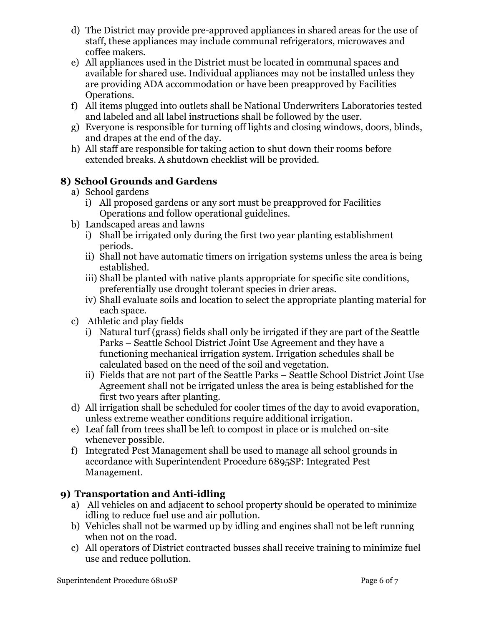- d) The District may provide pre-approved appliances in shared areas for the use of staff, these appliances may include communal refrigerators, microwaves and coffee makers.
- e) All appliances used in the District must be located in communal spaces and available for shared use. Individual appliances may not be installed unless they are providing ADA accommodation or have been preapproved by Facilities Operations.
- f) All items plugged into outlets shall be National Underwriters Laboratories tested and labeled and all label instructions shall be followed by the user.
- g) Everyone is responsible for turning off lights and closing windows, doors, blinds, and drapes at the end of the day.
- h) All staff are responsible for taking action to shut down their rooms before extended breaks. A shutdown checklist will be provided.

## **8) School Grounds and Gardens**

- a) School gardens
	- i) All proposed gardens or any sort must be preapproved for Facilities Operations and follow operational guidelines.
- b) Landscaped areas and lawns
	- i) Shall be irrigated only during the first two year planting establishment periods.
	- ii) Shall not have automatic timers on irrigation systems unless the area is being established.
	- iii) Shall be planted with native plants appropriate for specific site conditions, preferentially use drought tolerant species in drier areas.
	- iv) Shall evaluate soils and location to select the appropriate planting material for each space.
- c) Athletic and play fields
	- i) Natural turf (grass) fields shall only be irrigated if they are part of the Seattle Parks – Seattle School District Joint Use Agreement and they have a functioning mechanical irrigation system. Irrigation schedules shall be calculated based on the need of the soil and vegetation.
	- ii) Fields that are not part of the Seattle Parks Seattle School District Joint Use Agreement shall not be irrigated unless the area is being established for the first two years after planting.
- d) All irrigation shall be scheduled for cooler times of the day to avoid evaporation, unless extreme weather conditions require additional irrigation.
- e) Leaf fall from trees shall be left to compost in place or is mulched on-site whenever possible.
- f) Integrated Pest Management shall be used to manage all school grounds in accordance with Superintendent Procedure 6895SP: Integrated Pest Management.

## **9) Transportation and Anti-idling**

- a) All vehicles on and adjacent to school property should be operated to minimize idling to reduce fuel use and air pollution.
- b) Vehicles shall not be warmed up by idling and engines shall not be left running when not on the road.
- c) All operators of District contracted busses shall receive training to minimize fuel use and reduce pollution.